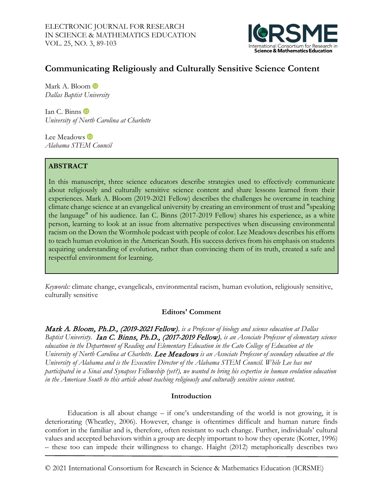

# **Communicating Religiously and Culturally Sensitive Science Content**

Mark A. Bloom **D** *Dallas Baptist University*

Ian C. Binns *University of North Carolina at Charlotte*

Lee Meadows **iD** *Alabama STEM Council*

## **ABSTRACT**

In this manuscript, three science educators describe strategies used to effectively communicate about religiously and culturally sensitive science content and share lessons learned from their experiences. Mark A. Bloom (2019-2021 Fellow) describes the challenges he overcame in teaching climate change science at an evangelical university by creating an environment of trust and "speaking the language" of his audience. Ian C. Binns (2017-2019 Fellow) shares his experience, as a white person, learning to look at an issue from alternative perspectives when discussing environmental racism on the Down the Wormhole podcast with people of color. Lee Meadows describes his efforts to teach human evolution in the American South. His success derives from his emphasis on students acquiring understanding of evolution, rather than convincing them of its truth, created a safe and respectful environment for learning.

*Keywords:* climate change, evangelicals, environmental racism, human evolution, religiously sensitive, culturally sensitive

## **Editors' Comment**

Mark A. Bloom, Ph.D., (2019-2021 Fellow)*, is a Professor of biology and science education at Dallas Baptist Univeristy.* Ian C. Binns, Ph.D., (2017-2019 Fellow)*, is an Associate Professor of elementary science education in the Department of Reading and Elementary Education in the Cato College of Education at the University of North Carolina at Charlotte.* Lee Meadows *is an Associate Professor of secondary education at the University of Alabama and is the Executive Director of the Alabama STEM Council. While Lee has not participated in a Sinai and Synapses Fellowship (yet?), we wanted to bring his expertise in human evolution education in the American South to this article about teaching religiously and culturally sensitive science content.* 

## **Introduction**

Education is all about change – if one's understanding of the world is not growing, it is deteriorating (Wheatley, 2006). However, change is oftentimes difficult and human nature finds comfort in the familiar and is, therefore, often resistant to such change. Further, individuals' cultural values and accepted behaviors within a group are deeply important to how they operate (Kotter, 1996) – these too can impede their willingness to change. Haight (2012) metaphorically describes two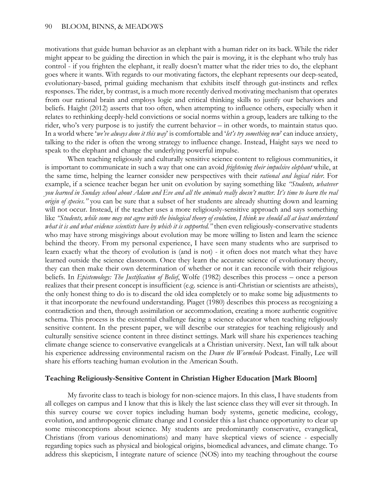motivations that guide human behavior as an elephant with a human rider on its back. While the rider might appear to be guiding the direction in which the pair is moving, it is the elephant who truly has control - if you frighten the elephant, it really doesn't matter what the rider tries to do, the elephant goes where it wants. With regards to our motivating factors, the elephant represents our deep-seated, evolutionary-based, primal guiding mechanism that exhibits itself through gut-instincts and reflex responses. The rider, by contrast, is a much more recently derived motivating mechanism that operates from our rational brain and employs logic and critical thinking skills to justify our behaviors and beliefs. Haight (2012) asserts that too often, when attempting to influence others, especially when it relates to rethinking deeply-held convictions or social norms within a group, leaders are talking to the rider, who's very purpose is to justify the current behavior – in other words, to maintain status quo. In a world where '*we've always done it this way*' is comfortable and '*let's try something new*' can induce anxiety, talking to the rider is often the wrong strategy to influence change. Instead, Haight says we need to speak to the elephant and change the underlying powerful impulse.

When teaching religiously and culturally sensitive science content to religious communities, it is important to communicate in such a way that one can avoid *frightening their impulsive elephant* while, at the same time, helping the learner consider new perspectives with their *rational and logical rider*. For example, if a science teacher began her unit on evolution by saying something like *"Students, whatever you learned in Sunday school about Adam and Eve and all the animals really doesn't matter. It's time to learn the real origin of species.*" you can be sure that a subset of her students are already shutting down and learning will not occur. Instead, if the teacher uses a more religiously-sensitive approach and says something like *"Students, while some may not agree with the biological theory of evolution, I think we should all at least understand what it is and what evidence scientists have by which it is supported."* then even religiously-conservative students who may have strong misgivings about evolution may be more willing to listen and learn the science behind the theory. From my personal experience, I have seen many students who are surprised to learn exactly what the theory of evolution is (and is not) - it often does not match what they have learned outside the science classroom. Once they learn the accurate science of evolutionary theory, they can then make their own determination of whether or not it can reconcile with their religious beliefs. In *Epistemology: The Justification of Belief*, Wolfe (1982) describes this process – once a person realizes that their present concept is insufficient (e.g. science is anti-Christian or scientists are atheists), the only honest thing to do is to discard the old idea completely or to make some big adjustments to it that incorporate the newfound understanding. Piaget (1980) describes this process as recognizing a contradiction and then, through assimilation or accommodation, creating a more authentic cognitive schema. This process is the existential challenge facing a science educator when teaching religiously sensitive content. In the present paper, we will describe our strategies for teaching religiously and culturally sensitive science content in three distinct settings. Mark will share his experiences teaching climate change science to conservative evangelicals at a Christian university. Next, Ian will talk about his experience addressing environmental racism on the *Down the Wormhole* Podcast. Finally, Lee will share his efforts teaching human evolution in the American South.

#### **Teaching Religiously-Sensitive Content in Christian Higher Education [Mark Bloom]**

My favorite class to teach is biology for non-science majors. In this class, I have students from all colleges on campus and I know that this is likely the last science class they will ever sit through. In this survey course we cover topics including human body systems, genetic medicine, ecology, evolution, and anthropogenic climate change and I consider this a last chance opportunity to clear up some misconceptions about science. My students are predominantly conservative, evangelical, Christians (from various denominations) and many have skeptical views of science - especially regarding topics such as physical and biological origins, biomedical advances, and climate change. To address this skepticism, I integrate nature of science (NOS) into my teaching throughout the course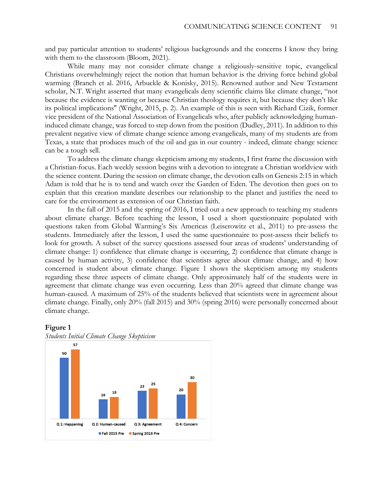and pay particular attention to students' religious backgrounds and the concerns I know they bring with them to the classroom (Bloom, 2021).

While many may not consider climate change a religiously-sensitive topic, evangelical Christians overwhelmingly reject the notion that human behavior is the driving force behind global warming (Branch et al. 2016, Arbuckle & Konisky, 2015). Renowned author and New Testament scholar, N.T. Wright asserted that many evangelicals deny scientific claims like climate change, "not because the evidence is wanting or because Christian theology requires it, but because they don't like its political implications'' (Wright, 2015, p. 2). An example of this is seen with Richard Cizik, former vice president of the National Association of Evangelicals who, after publicly acknowledging humaninduced climate change, was forced to step down from the position (Dudley, 2011). In addition to this prevalent negative view of climate change science among evangelicals, many of my students are from Texas, a state that produces much of the oil and gas in our country - indeed, climate change science can be a tough sell.

To address the climate change skepticism among my students, I first frame the discussion with a Christian-focus. Each weekly session begins with a devotion to integrate a Christian worldview with the science content. During the session on climate change, the devotion calls on Genesis 2:15 in which Adam is told that he is to tend and watch over the Garden of Eden. The devotion then goes on to explain that this creation mandate describes our relationship to the planet and justifies the need to care for the environment as extension of our Christian faith.

In the fall of 2015 and the spring of 2016, I tried out a new approach to teaching my students about climate change. Before teaching the lesson, I used a short questionnaire populated with questions taken from Global Warming's Six Americas (Leiserowitz et al., 2011) to pre-assess the students. Immediately after the lesson, I used the same questionnaire to post-assess their beliefs to look for growth. A subset of the survey questions assessed four areas of students' understanding of climate change: 1) confidence that climate change is occurring, 2) confidence that climate change is caused by human activity, 3) confidence that scientists agree about climate change, and 4) how concerned is student about climate change. Figure 1 shows the skepticism among my students regarding these three aspects of climate change. Only approximately half of the students were in agreement that climate change was even occurring. Less than 20% agreed that climate change was human-caused. A maximum of 25% of the students believed that scientists were in agreement about climate change. Finally, only 20% (fall 2015) and 30% (spring 2016) were personally concerned about climate change.





**Figure 1**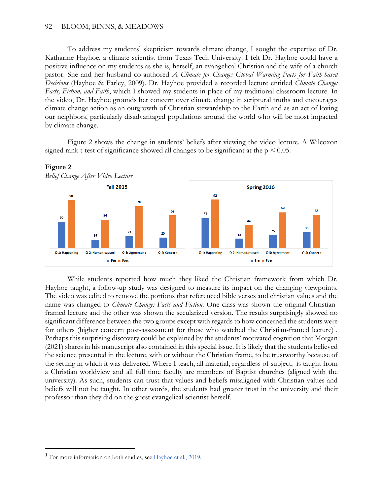### 92 BLOOM, BINNS, & MEADOWS

To address my students' skepticism towards climate change, I sought the expertise of Dr. Katharine Hayhoe, a climate scientist from Texas Tech University. I felt Dr. Hayhoe could have a positive influence on my students as she is, herself, an evangelical Christian and the wife of a church pastor. She and her husband co-authored *A Climate for Change: Global Warming Facts for Faith-based Decisions* (Hayhoe & Farley, 2009). Dr. Hayhoe provided a recorded lecture entitled *Climate Change: Facts, Fiction, and Faith*, which I showed my students in place of my traditional classroom lecture. In the video, Dr. Hayhoe grounds her concern over climate change in scriptural truths and encourages climate change action as an outgrowth of Christian stewardship to the Earth and as an act of loving our neighbors, particularly disadvantaged populations around the world who will be most impacted by climate change.

Figure 2 shows the change in students' beliefs after viewing the video lecture. A Wilcoxon signed rank t-test of significance showed all changes to be significant at the  $p \le 0.05$ .



While students reported how much they liked the Christian framework from which Dr. Hayhoe taught, a follow-up study was designed to measure its impact on the changing viewpoints. The video was edited to remove the portions that referenced bible verses and christian values and the name was changed to *Climate Change: Facts and Fiction*. One class was shown the original Christianframed lecture and the other was shown the secularized version. The results surprisingly showed no significant difference between the two groups except with regards to how concerned the students were for others (higher concern post-assessment for those who watched the Christian-framed lecture)<sup>[1](#page-3-0)</sup>. Perhaps this surprising discovery could be explained by the students' motivated cognition that Morgan (2021) shares in his manuscript also contained in this special issue. It is likely that the students believed the science presented in the lecture, with or without the Christian frame, to be trustworthy because of the setting in which it was delivered. Where I teach, all material, regardless of subject, is taught from a Christian worldview and all full time faculty are members of Baptist churches (aligned with the university). As such, students can trust that values and beliefs misaligned with Christian values and beliefs will not be taught. In other words, the students had greater trust in the university and their professor than they did on the guest evangelical scientist herself.

 $\overline{a}$ 

<span id="page-3-0"></span><sup>&</sup>lt;sup>1</sup> For more information on both studies, see **Hayhoe** et al., 2019.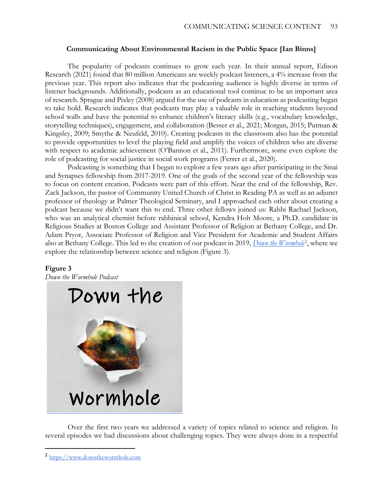## **Communicating About Environmental Racism in the Public Space [Ian Binns]**

The popularity of podcasts continues to grow each year. In their annual report, Edison Research (2021) found that 80 million Americans are weekly podcast listeners, a 4% increase from the previous year. This report also indicates that the podcasting audience is highly diverse in terms of listener backgrounds. Additionally, podcasts as an educational tool continue to be an important area of research. Sprague and Pixley (2008) argued for the use of podcasts in education as podcasting began to take hold. Research indicates that podcasts may play a valuable role in reaching students beyond school walls and have the potential to enhance children's literacy skills (e.g., vocabulary knowledge, storytelling techniques), engagement, and collaboration (Besser et al., 2021; Morgan, 2015; Putman & Kingsley, 2009; Smythe & Neufeld, 2010). Creating podcasts in the classroom also has the potential to provide opportunities to level the playing field and amplify the voices of children who are diverse with respect to academic achievement (O'Bannon et al., 2011). Furthermore, some even explore the role of podcasting for social justice in social work programs (Ferrer et al., 2020).

Podcasting is something that I began to explore a few years ago after participating in the Sinai and Synapses fellowship from 2017-2019. One of the goals of the second year of the fellowship was to focus on content creation. Podcasts were part of this effort. Near the end of the fellowship, Rev. Zack Jackson, the pastor of Community United Church of Christ in Reading PA as well as an adjunct professor of theology at Palmer Theological Seminary, and I approached each other about creating a podcast because we didn't want this to end. Three other fellows joined us: Rabbi Rachael Jackson, who was an analytical chemist before rabbinical school, Kendra Holt Moore, a Ph.D. candidate in Religious Studies at Boston College and Assistant Professor of Religion at Bethany College, and Dr. Adam Pryor, Associate Professor of Religion and Vice President for Academic and Student Affairs also at Bethany College. This led to the creation of our podcast in [2](#page-4-0)019, *[Down the Wormhole](https://www.downthewormhole.com/)*<sup>2</sup>, where we explore the relationship between science and religion (Figure 3).

## **Figure 3**

 $\overline{a}$ 

*Down the Wormhole Podcast*



Over the first two years we addressed a variety of topics related to science and religion. In several episodes we had discussions about challenging topics. They were always done in a respectful

<span id="page-4-0"></span><sup>2</sup> [https://www.downthewormhole.com](https://www.downthewormhole.com/)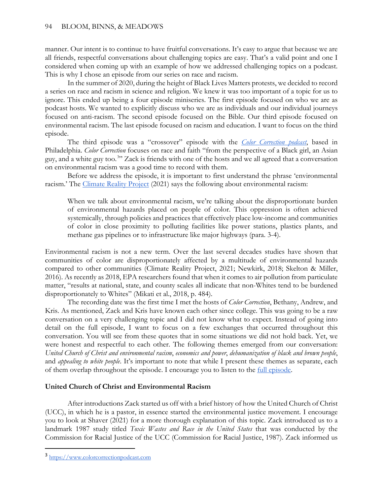manner. Our intent is to continue to have fruitful conversations. It's easy to argue that because we are all friends, respectful conversations about challenging topics are easy. That's a valid point and one I considered when coming up with an example of how we addressed challenging topics on a podcast. This is why I chose an episode from our series on race and racism.

In the summer of 2020, during the height of Black Lives Matters protests, we decided to record a series on race and racism in science and religion. We knew it was too important of a topic for us to ignore. This ended up being a four episode miniseries. The first episode focused on who we are as podcast hosts. We wanted to explicitly discuss who we are as individuals and our individual journeys focused on anti-racism. The second episode focused on the Bible. Our third episode focused on environmental racism. The last episode focused on racism and education. I want to focus on the third episode.

The third episode was a "crossover" episode with the *[Color Correction podcast](https://www.colorcorrectionpodcast.com/)*, based in Philadelphia. *Color Correction* focuses on race and faith "from the perspective of a Black girl, an Asian guy, and a white guy too.<sup>[3](#page-5-0)</sup>" Zack is friends with one of the hosts and we all agreed that a conversation on environmental racism was a good time to record with them.

Before we address the episode, it is important to first understand the phrase 'environmental racism.' The [Climate Reality Project](https://www.climaterealityproject.org/) (2021) says the following about environmental racism:

When we talk about environmental racism, we're talking about the disproportionate burden of environmental hazards placed on people of color. This oppression is often achieved systemically, through policies and practices that effectively place low-income and communities of color in close proximity to polluting facilities like power stations, plastics plants, and methane gas pipelines or to infrastructure like major highways (para. 3-4).

Environmental racism is not a new term. Over the last several decades studies have shown that communities of color are disproportionately affected by a multitude of environmental hazards compared to other communities (Climate Reality Project, 2021; Newkirk, 2018; Skelton & Miller, 2016). As recently as 2018, EPA researchers found that when it comes to air pollution from particulate matter, "results at national, state, and county scales all indicate that non-Whites tend to be burdened disproportionately to Whites" (Mikati et al., 2018, p. 484).

The recording date was the first time I met the hosts of *Color Correction*, Bethany, Andrew, and Kris. As mentioned, Zack and Kris have known each other since college. This was going to be a raw conversation on a very challenging topic and I did not know what to expect. Instead of going into detail on the full episode, I want to focus on a few exchanges that occurred throughout this conversation. You will see from these quotes that in some situations we did not hold back. Yet, we were honest and respectful to each other. The following themes emerged from our conversation: *United Church of Christ and environmental racism*, *economics and power*, *dehumanization of black and brown people*, and *appealing to white people*. It's important to note that while I present these themes as separate, each of them overlap throughout the episode. I encourage you to listen to the [full episode.](https://www.downthewormhole.com/e/racism-part-3-with-the-color-correction-podcast-environmental-justice/)

## **United Church of Christ and Environmental Racism**

After introductions Zack started us off with a brief history of how the United Church of Christ (UCC), in which he is a pastor, in essence started the environmental justice movement. I encourage you to look at Shaver (2021) for a more thorough explanation of this topic. Zack introduced us to a landmark 1987 study titled *Toxic Wastes and Race in the United States* that was conducted by the Commission for Racial Justice of the UCC (Commission for Racial Justice, 1987). Zack informed us

 $\overline{a}$ 

<span id="page-5-0"></span><sup>3</sup> [https://www.colorcorrectionpodcast.com](https://www.colorcorrectionpodcast.com/)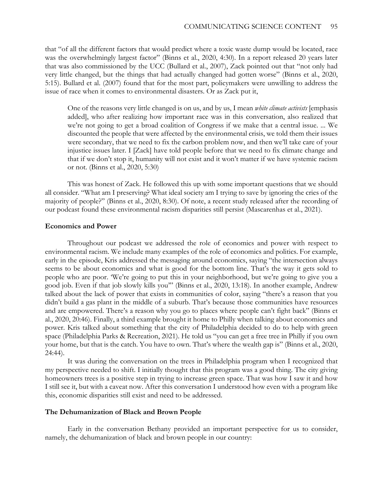that "of all the different factors that would predict where a toxic waste dump would be located, race was the overwhelmingly largest factor" (Binns et al., 2020, 4:30). In a report released 20 years later that was also commissioned by the UCC (Bullard et al., 2007), Zack pointed out that "not only had very little changed, but the things that had actually changed had gotten worse" (Binns et al., 2020, 5:15). Bullard et al. (2007) found that for the most part, policymakers were unwilling to address the issue of race when it comes to environmental disasters. Or as Zack put it,

One of the reasons very little changed is on us, and by us, I mean *white climate activists* [emphasis added], who after realizing how important race was in this conversation, also realized that we're not going to get a broad coalition of Congress if we make that a central issue. ... We discounted the people that were affected by the environmental crisis, we told them their issues were secondary, that we need to fix the carbon problem now, and then we'll take care of your injustice issues later. I [Zack] have told people before that we need to fix climate change and that if we don't stop it, humanity will not exist and it won't matter if we have systemic racism or not. (Binns et al., 2020, 5:30)

This was honest of Zack. He followed this up with some important questions that we should all consider. "What am I preserving? What ideal society am I trying to save by ignoring the cries of the majority of people?" (Binns et al., 2020, 8:30). Of note, a recent study released after the recording of our podcast found these environmental racism disparities still persist (Mascarenhas et al., 2021).

## **Economics and Power**

Throughout our podcast we addressed the role of economics and power with respect to environmental racism. We include many examples of the role of economics and politics. For example, early in the episode, Kris addressed the messaging around economics, saying "the intersection always seems to be about economics and what is good for the bottom line. That's the way it gets sold to people who are poor. 'We're going to put this in your neighborhood, but we're going to give you a good job. Even if that job slowly kills you'" (Binns et al., 2020, 13:18). In another example, Andrew talked about the lack of power that exists in communities of color, saying "there's a reason that you didn't build a gas plant in the middle of a suburb. That's because those communities have resources and are empowered. There's a reason why you go to places where people can't fight back" (Binns et al., 2020, 20:46). Finally, a third example brought it home to Philly when talking about economics and power. Kris talked about something that the city of Philadelphia decided to do to help with green space (Philadelphia Parks & Recreation, 2021). He told us "you can get a free tree in Philly if you own your home, but that is the catch. You have to own. That's where the wealth gap is" (Binns et al., 2020, 24:44).

It was during the conversation on the trees in Philadelphia program when I recognized that my perspective needed to shift. I initially thought that this program was a good thing. The city giving homeowners trees is a positive step in trying to increase green space. That was how I saw it and how I still see it, but with a caveat now. After this conversation I understood how even with a program like this, economic disparities still exist and need to be addressed.

### **The Dehumanization of Black and Brown People**

Early in the conversation Bethany provided an important perspective for us to consider, namely, the dehumanization of black and brown people in our country: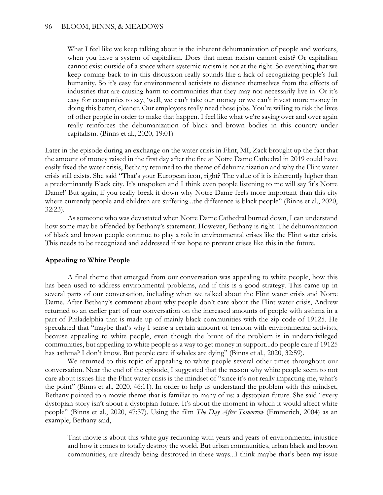What I feel like we keep talking about is the inherent dehumanization of people and workers, when you have a system of capitalism. Does that mean racism cannot exist? Or capitalism cannot exist outside of a space where systemic racism is not at the right. So everything that we keep coming back to in this discussion really sounds like a lack of recognizing people's full humanity. So it's easy for environmental activists to distance themselves from the effects of industries that are causing harm to communities that they may not necessarily live in. Or it's easy for companies to say, 'well, we can't take our money or we can't invest more money in doing this better, cleaner. Our employees really need these jobs. You're willing to risk the lives of other people in order to make that happen. I feel like what we're saying over and over again really reinforces the dehumanization of black and brown bodies in this country under capitalism. (Binns et al., 2020, 19:01)

Later in the episode during an exchange on the water crisis in Flint, MI, Zack brought up the fact that the amount of money raised in the first day after the fire at Notre Dame Cathedral in 2019 could have easily fixed the water crisis, Bethany returned to the theme of dehumanization and why the Flint water crisis still exists. She said "That's your European icon, right? The value of it is inherently higher than a predominantly Black city. It's unspoken and I think even people listening to me will say 'it's Notre Dame!' But again, if you really break it down why Notre Dame feels more important than this city where currently people and children are suffering...the difference is black people" (Binns et al., 2020, 32:23).

As someone who was devastated when Notre Dame Cathedral burned down, I can understand how some may be offended by Bethany's statement. However, Bethany is right. The dehumanization of black and brown people continue to play a role in environmental crises like the Flint water crisis. This needs to be recognized and addressed if we hope to prevent crises like this in the future.

## **Appealing to White People**

A final theme that emerged from our conversation was appealing to white people, how this has been used to address environmental problems, and if this is a good strategy. This came up in several parts of our conversation, including when we talked about the Flint water crisis and Notre Dame. After Bethany's comment about why people don't care about the Flint water crisis, Andrew returned to an earlier part of our conversation on the increased amounts of people with asthma in a part of Philadelphia that is made up of mainly black communities with the zip code of 19125. He speculated that "maybe that's why I sense a certain amount of tension with environmental activists, because appealing to white people, even though the brunt of the problem is in underprivileged communities, but appealing to white people as a way to get money in support...do people care if 19125 has asthma? I don't know. But people care if whales are dying" (Binns et al., 2020, 32:59).

We returned to this topic of appealing to white people several other times throughout our conversation. Near the end of the episode, I suggested that the reason why white people seem to not care about issues like the Flint water crisis is the mindset of "since it's not really impacting me, what's the point" (Binns et al., 2020, 46:11). In order to help us understand the problem with this mindset, Bethany pointed to a movie theme that is familiar to many of us: a dystopian future. She said "every dystopian story isn't about a dystopian future. It's about the moment in which it would affect white people" (Binns et al., 2020, 47:37). Using the film *The Day After Tomorrow* (Emmerich, 2004) as an example, Bethany said,

That movie is about this white guy reckoning with years and years of environmental injustice and how it comes to totally destroy the world. But urban communities, urban black and brown communities, are already being destroyed in these ways...I think maybe that's been my issue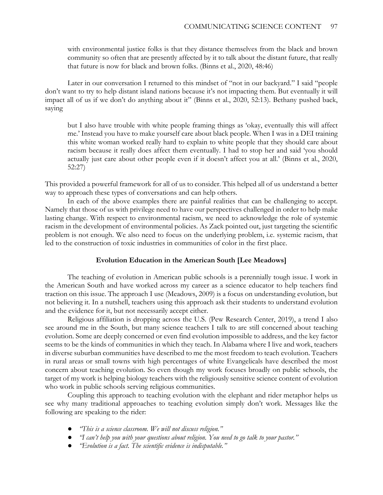with environmental justice folks is that they distance themselves from the black and brown community so often that are presently affected by it to talk about the distant future, that really that future is now for black and brown folks. (Binns et al., 2020, 48:46)

Later in our conversation I returned to this mindset of "not in our backyard." I said "people don't want to try to help distant island nations because it's not impacting them. But eventually it will impact all of us if we don't do anything about it" (Binns et al., 2020, 52:13). Bethany pushed back, saying

but I also have trouble with white people framing things as 'okay, eventually this will affect me.' Instead you have to make yourself care about black people. When I was in a DEI training this white woman worked really hard to explain to white people that they should care about racism because it really does affect them eventually. I had to stop her and said 'you should actually just care about other people even if it doesn't affect you at all.' (Binns et al., 2020, 52:27)

This provided a powerful framework for all of us to consider. This helped all of us understand a better way to approach these types of conversations and can help others.

In each of the above examples there are painful realities that can be challenging to accept. Namely that those of us with privilege need to have our perspectives challenged in order to help make lasting change. With respect to environmental racism, we need to acknowledge the role of systemic racism in the development of environmental policies. As Zack pointed out, just targeting the scientific problem is not enough. We also need to focus on the underlying problem, i.e. systemic racism, that led to the construction of toxic industries in communities of color in the first place.

## **Evolution Education in the American South [Lee Meadows]**

The teaching of evolution in American public schools is a perennially tough issue. I work in the American South and have worked across my career as a science educator to help teachers find traction on this issue. The approach I use (Meadows, 2009) is a focus on understanding evolution, but not believing it. In a nutshell, teachers using this approach ask their students to understand evolution and the evidence for it, but not necessarily accept either.

Religious affiliation is dropping across the U.S. (Pew Research Center, 2019), a trend I also see around me in the South, but many science teachers I talk to are still concerned about teaching evolution. Some are deeply concerned or even find evolution impossible to address, and the key factor seems to be the kinds of communities in which they teach. In Alabama where I live and work, teachers in diverse suburban communities have described to me the most freedom to teach evolution. Teachers in rural areas or small towns with high percentages of white Evangelicals have described the most concern about teaching evolution. So even though my work focuses broadly on public schools, the target of my work is helping biology teachers with the religiously sensitive science content of evolution who work in public schools serving religious communities.

Coupling this approach to teaching evolution with the elephant and rider metaphor helps us see why many traditional approaches to teaching evolution simply don't work. Messages like the following are speaking to the rider:

- "This is a science classroom. We will not discuss religion."
- *"I can't help you with your questions about religion. You need to go talk to your pastor."*
- *"Evolution is a fact. The scientific evidence is indisputable."*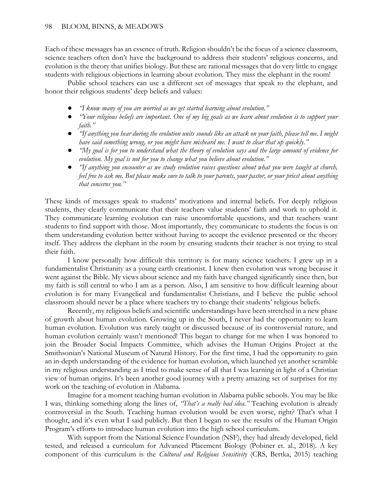## 98 BLOOM, BINNS, & MEADOWS

Each of these messages has an essence of truth. Religion shouldn't be the focus of a science classroom, science teachers often don't have the background to address their students' religious concerns, and evolution is the theory that unifies biology. But these are rational messages that do very little to engage students with religious objections in learning about evolution. They miss the elephant in the room!

Public school teachers can use a different set of messages that speak to the elephant, and honor their religious students' deep beliefs and values:

- *"I know many of you are worried as we get started learning about evolution."*
- *"Your religious beliefs are important. One of my big goals as we learn about evolution is to support your faith."*
- *"If anything you hear during the evolution units sounds like an attack on your faith, please tell me. I might have said something wrong, or you might have misheard me. I want to clear that up quickly."*
- *"My goal is for you to understand what the theory of evolution says and the large amount of evidence for evolution. My goal is not for you to change what you believe about evolution."*
- *"If anything you encounter as we study evolution raises questions about what you were taught at church, feel free to ask me. But please make sure to talk to your parents, your pastor, or your priest about anything that concerns you."*

These kinds of messages speak to students' motivations and internal beliefs. For deeply religious students, they clearly communicate that their teachers value students' faith and work to uphold it. They communicate learning evolution can raise uncomfortable questions, and that teachers want students to find support with those. Most importantly, they communicate to students the focus is on them understanding evolution better without having to accept the evidence presented or the theory itself. They address the elephant in the room by ensuring students their teacher is not trying to steal their faith.

I know personally how difficult this territory is for many science teachers. I grew up in a fundamentalist Christianity as a young earth creationist. I knew then evolution was wrong because it went against the Bible. My views about science and my faith have changed significantly since then, but my faith is still central to who I am as a person. Also, I am sensitive to how difficult learning about evolution is for many Evangelical and fundamentalist Christians, and I believe the public school classroom should never be a place where teachers try to change their students' religious beliefs.

Recently, my religious beliefs and scientific understandings have been stretched in a new phase of growth about human evolution. Growing up in the South, I never had the opportunity to learn human evolution. Evolution was rarely taught or discussed because of its controversial nature, and human evolution certainly wasn't mentioned! This began to change for me when I was honored to join the Broader Social Impacts Committee, which advises the Human Origins Project at the Smithsonian's National Museum of Natural History. For the first time, I had the opportunity to gain an in-depth understanding of the evidence for human evolution, which launched yet another scramble in my religious understanding as I tried to make sense of all that I was learning in light of a Christian view of human origins. It's been another good journey with a pretty amazing set of surprises for my work on the teaching of evolution in Alabama.

Imagine for a moment teaching human evolution in Alabama public schools. You may be like I was, thinking something along the lines of, *"That's a really bad idea."* Teaching evolution is already controversial in the South. Teaching human evolution would be even worse, right? That's what I thought, and it's even what I said publicly. But then I began to see the results of the Human Origin Program's efforts to introduce human evolution into the high school curriculum.

With support from the National Science Foundation (NSF), they had already developed, field tested, and released a curriculum for Advanced Placement Biology (Pobiner et. al., 2018). A key component of this curriculum is the *Cultural and Religious Sensitivity* (CRS, Bertka, 2015) teaching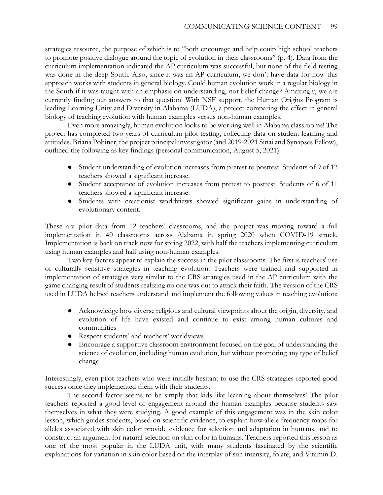strategies resource, the purpose of which is to "both encourage and help equip high school teachers to promote positive dialogue around the topic of evolution in their classrooms" (p. 4). Data from the curriculum implementation indicated the AP curriculum was successful, but none of the field testing was done in the deep South. Also, since it was an AP curriculum, we don't have data for how this approach works with students in general biology. Could human evolution work in a regular biology in the South if it was taught with an emphasis on understanding, not belief change? Amazingly, we are currently finding out answers to that question! With NSF support, the Human Origins Program is leading Learning Unity and Diversity in Alabama (LUDA), a project comparing the effect in general biology of teaching evolution with human examples versus non-human examples.

Even more amazingly, human evolution looks to be working well in Alabama classrooms! The project has completed two years of curriculum pilot testing, collecting data on student learning and attitudes. Briana Pobiner, the project principal investigator (and 2019-2021 Sinai and Synapses Fellow), outlined the following as key findings (personal communication, August 5, 2021):

- Student understanding of evolution increases from pretest to posttest. Students of 9 of 12 teachers showed a significant increase.
- Student acceptance of evolution increases from pretest to posttest. Students of 6 of 11 teachers showed a significant increase.
- Students with creationist worldviews showed significant gains in understanding of evolutionary content.

These are pilot data from 12 teachers' classrooms, and the project was moving toward a full implementation in 40 classrooms across Alabama in spring 2020 when COVID-19 struck. Implementation is back on track now for spring 2022, with half the teachers implementing curriculum using human examples and half using non-human examples.

Two key factors appear to explain the success in the pilot classrooms. The first is teachers' use of culturally sensitive strategies in teaching evolution. Teachers were trained and supported in implementation of strategies very similar to the CRS strategies used in the AP curriculum with the game changing result of students realizing no one was out to attack their faith. The version of the CRS used in LUDA helped teachers understand and implement the following values in teaching evolution:

- Acknowledge how diverse religious and cultural viewpoints about the origin, diversity, and evolution of life have existed and continue to exist among human cultures and communities
- Respect students' and teachers' worldviews
- Encourage a supportive classroom environment focused on the goal of understanding the science of evolution, including human evolution, but without promoting any type of belief change

Interestingly, even pilot teachers who were initially hesitant to use the CRS strategies reported good success once they implemented them with their students.

The second factor seems to be simply that kids like learning about themselves! The pilot teachers reported a good level of engagement around the human examples because students saw themselves in what they were studying. A good example of this engagement was in the skin color lesson, which guides students, based on scientific evidence, to explain how allele frequency maps for alleles associated with skin color provide evidence for selection and adaptation in humans, and to construct an argument for natural selection on skin color in humans. Teachers reported this lesson as one of the most popular in the LUDA unit, with many students fascinated by the scientific explanations for variation in skin color based on the interplay of sun intensity, folate, and Vitamin D.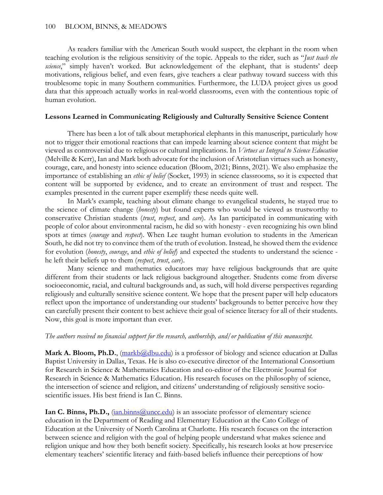As readers familiar with the American South would suspect, the elephant in the room when teaching evolution is the religious sensitivity of the topic. Appeals to the rider, such as "*Just teach the*  science," simply haven't worked. But acknowledgement of the elephant, that is students' deep motivations, religious belief, and even fears, give teachers a clear pathway toward success with this troublesome topic in many Southern communities. Furthermore, the LUDA project gives us good data that this approach actually works in real-world classrooms, even with the contentious topic of human evolution.

## **Lessons Learned in Communicating Religiously and Culturally Sensitive Science Content**

There has been a lot of talk about metaphorical elephants in this manuscript, particularly how not to trigger their emotional reactions that can impede learning about science content that might be viewed as controversial due to religious or cultural implications. In *Virtues as Integral to Science Education* (Melville & Kerr), Ian and Mark both advocate for the inclusion of Aristotelian virtues such as honesty, courage, care, and honesty into science education (Bloom, 2021; Binns, 2021). We also emphasize the importance of establishing an *ethic of belief* (Socket, 1993) in science classrooms, so it is expected that content will be supported by evidence, and to create an environment of trust and respect. The examples presented in the current paper exemplify these needs quite well.

In Mark's example, teaching about climate change to evangelical students, he stayed true to the science of climate change (*honesty*) but found experts who would be viewed as trustworthy to conservative Christian students (*trust*, *respect*, and *care*). As Ian participated in communicating with people of color about environmental racism, he did so with honesty - even recognizing his own blind spots at times (*courage* and *respect*). When Lee taught human evolution to students in the American South, he did not try to convince them of the truth of evolution. Instead, he showed them the evidence for evolution (*honesty*, *courage*, and *ethic of belief*) and expected the students to understand the science he left their beliefs up to them (*respect*, *trust*, *care*).

Many science and mathematics educators may have religious backgrounds that are quite different from their students or lack religious background altogether. Students come from diverse socioeconomic, racial, and cultural backgrounds and, as such, will hold diverse perspectives regarding religiously and culturally sensitive science content. We hope that the present paper will help educators reflect upon the importance of understanding our students' backgrounds to better perceive how they can carefully present their content to best achieve their goal of science literacy for all of their students. Now, this goal is more important than ever.

## *The authors received no financial support for the research, authorship, and/or publication of this manuscript.*

Mark A. Bloom, Ph.D., [\(markb@dbu.edu\)](mailto:markb@dbu.edu) is a professor of biology and science education at Dallas Baptist University in Dallas, Texas. He is also co-executive director of the International Consortium for Research in Science & Mathematics Education and co-editor of the Electronic Journal for Research in Science & Mathematics Education. His research focuses on the philosophy of science, the intersection of science and religion, and citizens' understanding of religiously sensitive socioscientific issues. His best friend is Ian C. Binns.

**Ian C. Binns, Ph.D.,**  $\frac{(\text{ian} \cdot \text{binns}(\partial \text{uncc.edu})}{\text{than} \cdot \text{bin}(\partial \text{uncc.edu})}$  is an associate professor of elementary science education in the Department of Reading and Elementary Education at the Cato College of Education at the University of North Carolina at Charlotte. His research focuses on the interaction between science and religion with the goal of helping people understand what makes science and religion unique and how they both benefit society. Specifically, his research looks at how preservice elementary teachers' scientific literacy and faith-based beliefs influence their perceptions of how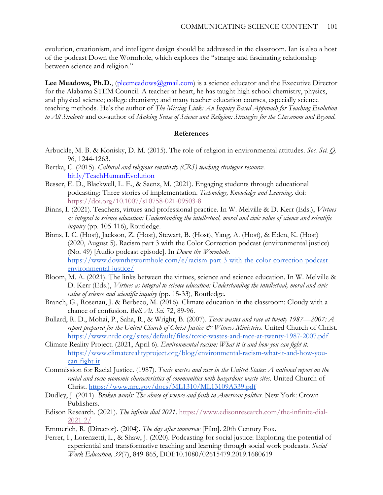evolution, creationism, and intelligent design should be addressed in the classroom. Ian is also a host of the podcast Down the Wormhole, which explores the "strange and fascinating relationship between science and religion."

Lee Meadows, Ph.D., (pleemeadows (algmail.com) is a science educator and the Executive Director for the Alabama STEM Council. A teacher at heart, he has taught high school chemistry, physics, and physical science; college chemistry; and many teacher education courses, especially science teaching methods. He's the author of *The Missing Link: An Inquiry Based Approach for Teaching Evolution to All Students* and co-author of *Making Sense of Science and Religion: Strategies for the Classroom and Beyond*.

### **References**

- Arbuckle, M. B. & Konisky, D. M. (2015). The role of religion in environmental attitudes. *Soc. Sci. Q.* 96, 1244-1263.
- Bertka, C. (2015). *Cultural and religious sensitivity (CRS) teaching strategies resource*. [bit.ly/TeachHumanEvolution](https://www.dropbox.com/sh/zxneqqfko5enxj5/AAD4x7y7Qijjgss3h9C8oqVGa?dl=0)
- Besser, E. D., Blackwell, L. E., & Saenz, M. (2021). Engaging students through educational podcasting: Three stories of implementation. *Technology, Knowledge and Learning*. doi: <https://doi.org/10.1007/s10758-021-09503-8>
- Binns, I. (2021). Teachers, virtues and professional practice. In W. Melville & D. Kerr (Eds.), *Virtues as integral to science education: Understanding the intellectual, moral and civic value of science and scientific inquiry* (pp. 105-116), Routledge.
- Binns, I. C. (Host), Jackson, Z. (Host), Stewart, B. (Host), Yang, A. (Host), & Eden, K. (Host) (2020, August 5). Racism part 3 with the Color Correction podcast (environmental justice) (No. 49) [Audio podcast episode]. In *Down the Wormhole*. [https://www.downthewormhole.com/e/racism-part-3-with-the-color-correction-podcast](https://www.downthewormhole.com/e/racism-part-3-with-the-color-correction-podcast-environmental-justice/)[environmental-justice/](https://www.downthewormhole.com/e/racism-part-3-with-the-color-correction-podcast-environmental-justice/)
- Bloom, M. A. (2021). The links between the virtues, science and science education. In W. Melville & D. Kerr (Eds.), *Virtues as integral to science education: Understanding the intellectual, moral and civic value of science and scientific inquiry* (pp. 15-33), Routledge.
- Branch, G., Rosenau, J. & Berbeco, M. (2016). Climate education in the classroom: Cloudy with a chance of confusion. *Bull. At. Sci.* 72, 89-96.
- Bullard, R. D., Mohai, P., Saha, R., & Wright, B. (2007). *Toxic wastes and race at twenty 1987—2007: A*  report prepared for the United Church of Christ Justice & Witness Ministries. United Church of Christ. <https://www.nrdc.org/sites/default/files/toxic-wastes-and-race-at-twenty-1987-2007.pdf>
- Climate Reality Project. (2021, April 6). *Environmental racism: What it is and how you can fight it.* [https://www.climaterealityproject.org/blog/environmental-racism-what-it-and-how-you](https://www.climaterealityproject.org/blog/environmental-racism-what-it-and-how-you-can-fight-it)[can-fight-it](https://www.climaterealityproject.org/blog/environmental-racism-what-it-and-how-you-can-fight-it)
- Commission for Racial Justice. (1987). *Toxic wastes and race in the United States: A national report on the racial and socio-economic characteristics of communities with hazardous waste sites.* United Church of Christ.<https://www.nrc.gov/docs/ML1310/ML13109A339.pdf>
- Dudley, J. (2011). *Broken words: The abuse of science and faith in American politics*. New York: Crown Publishers.
- Edison Research. (2021). *The infinite dial 2021*. [https://www.edisonresearch.com/the-infinite-dial-](https://www.edisonresearch.com/the-infinite-dial-2021-2/)[2021-2/](https://www.edisonresearch.com/the-infinite-dial-2021-2/)
- Emmerich, R. (Director). (2004). *The day after tomorrow* [Film]. 20th Century Fox.
- Ferrer, I., Lorenzetti, L., & Shaw, J. (2020). Podcasting for social justice: Exploring the potential of experiential and transformative teaching and learning through social work podcasts. *Social Work Education, 39*(7), 849-865, DOI:10.1080/02615479.2019.1680619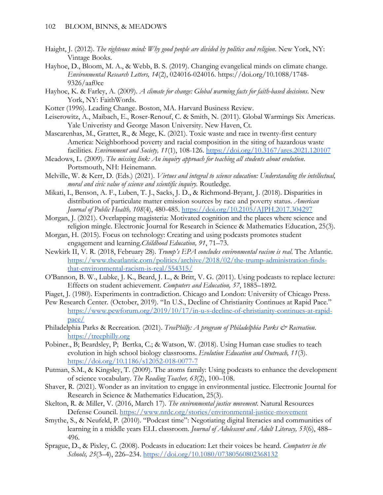- Haight, J. (2012). *The righteous mind: Why good people are divided by politics and religion*. New York, NY: Vintage Books.
- Hayhoe, D., Bloom, M. A., & Webb, B. S. (2019). Changing evangelical minds on climate change. *Environmental Research Letters, 14*(2), 024016-024016. https://doi.org/10.1088/1748- 9326/aaf0ce
- Hayhoe, K. & Farley, A. (2009). *A climate for change: Global warming facts for faith-based decisions*. New York, NY: FaithWords.
- Kotter (1996). Leading Change. Boston, MA. Harvard Business Review.
- Leiserowitz, A., Maibach, E., Roser-Renouf, C. & Smith, N. (2011). Global Warmings Six Americas. Yale Univeristy and George Mason University. New Haven, Ct.
- Mascarenhas, M., Grattet, R., & Mege, K. (2021). Toxic waste and race in twenty-first century America: Neighborhood poverty and racial composition in the siting of hazardous waste facilities. *Environment and Society, 11*(1), 108-126.<https://doi.org/10.3167/ares.2021.120107>
- Meadows, L. (2009). *The missing link: An inquiry approach for teaching all students about evolution*. Portsmouth, NH: Heinemann.
- Melville, W. & Kerr, D. (Eds.) (2021). *Virtues and integral to science education: Understanding the intellectual, moral and civic value of science and scientific inquiry.* Routledge.
- Mikati, I., Benson, A. F., Luben, T. J., Sacks, J. D., & Richmond-Bryant, J. (2018). Disparities in distribution of particulate matter emission sources by race and poverty status. *American Journal of Public Health, 108*(4), 480-485.<https://doi.org/10.2105/AJPH.2017.304297>
- Morgan, J. (2021). Overlapping magisteria: Motivated cognition and the places where science and religion mingle. Electronic Journal for Research in Science & Mathematics Education, 25(3).
- Morgan, H. (2015). Focus on technology: Creating and using podcasts promotes student engagement and learning.*Childhood Education, 91*, 71–73.
- Newkirk II, V. R. (2018, February 28). *Trump's EPA concludes environmental racism is real*. The Atlantic. [https://www.theatlantic.com/politics/archive/2018/02/the-trump-administration-finds](https://www.theatlantic.com/politics/archive/2018/02/the-trump-administration-finds-that-environmental-racism-is-real/554315/)[that-environmental-racism-is-real/554315/](https://www.theatlantic.com/politics/archive/2018/02/the-trump-administration-finds-that-environmental-racism-is-real/554315/)
- O'Bannon, B. W., Lubke, J. K., Beard, J. L., & Britt, V. G. (2011). Using podcasts to replace lecture: Effects on student achievement. *Computers and Education, 57*, 1885–1892.
- Piaget, J. (1980). Experiments in contradiction. Chicago and London: University of Chicago Press.
- Pew Research Center. (October, 2019). "In U.S., Decline of Christianity Continues at Rapid Pace." [https://www.pewforum.org/2019/10/17/in-u-s-decline-of-christianity-continues-at-rapid](https://www.pewforum.org/2019/10/17/in-u-s-decline-of-christianity-continues-at-rapid-pace/)[pace/](https://www.pewforum.org/2019/10/17/in-u-s-decline-of-christianity-continues-at-rapid-pace/)
- Philadelphia Parks & Recreation. (2021). *TreePhilly: A program of Philadelphia Parks & Recreation*. [https://treephilly.org](https://treephilly.org/)
- Pobiner., B; Beardsley, P; Bertka, C.; & Watson, W. (2018). Using Human case studies to teach evolution in high school biology classrooms. *Evolution Education and Outreach, 11*(3). <https://doi.org/10.1186/s12052-018-0077-7>
- Putman, S.M., & Kingsley, T. (2009). The atoms family: Using podcasts to enhance the development of science vocabulary. *The Reading Teacher, 63*(2), 100–108.
- Shaver, R. (2021). Wonder as an invitation to engage in environmental justice. Electronic Journal for Research in Science & Mathematics Education, 25(3).
- Skelton, R. & Miller, V. (2016, March 17). *The environmental justice movement*. Natural Resources Defense Council.<https://www.nrdc.org/stories/environmental-justice-movement>
- Smythe, S., & Neufeld, P. (2010). "Podcast time": Negotiating digital literacies and communities of learning in a middle years ELL classroom. *Journal of Adolescent and Adult Literacy, 53*(6), 488– 496.
- Sprague, D., & Pixley, C. (2008). Podcasts in education: Let their voices be heard. *Computers in the Schools, 25*(3–4), 226–234.<https://doi.org/10.1080/07380560802368132>